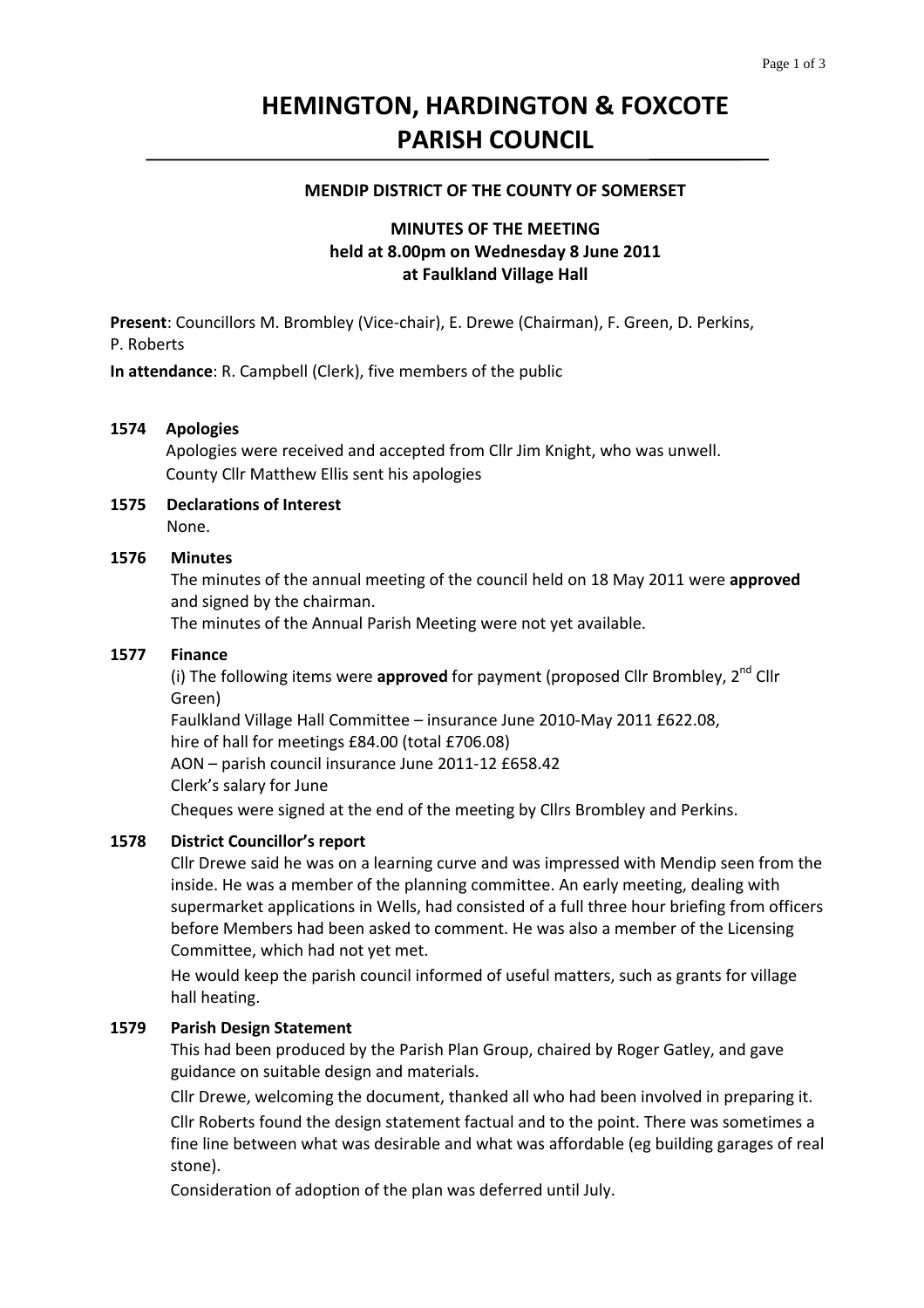# **HEMINGTON, HARDINGTON & FOXCOTE PARISH COUNCIL**

#### **MENDIP DISTRICT OF THE COUNTY OF SOMERSET**

# **MINUTES OF THE MEETING held at 8.00pm on Wednesday 8 June 2011 at Faulkland Village Hall**

**Present**: Councillors M. Brombley (Vice‐chair), E. Drewe (Chairman), F. Green, D. Perkins, P. Roberts

**In attendance**: R. Campbell (Clerk), five members of the public

### **1574 Apologies**

Apologies were received and accepted from Cllr Jim Knight, who was unwell.  County Cllr Matthew Ellis sent his apologies

#### **1575 Declarations of Interest** None.

## **1576 Minutes**

The minutes of the annual meeting of the council held on 18 May 2011 were **approved** and signed by the chairman.

The minutes of the Annual Parish Meeting were not yet available.

#### **1577 Finance**

(i) The following items were **approved** for payment (proposed Cllr Brombley, 2nd Cllr Green)

Faulkland Village Hall Committee – insurance June 2010‐May 2011 £622.08, hire of hall for meetings £84.00 (total £706.08)

AON – parish council insurance June 2011‐12 £658.42 Clerk's salary for June

 Cheques were signed at the end of the meeting by Cllrs Brombley and Perkins.

#### **1578 District Councillor's report**

Cllr Drewe said he was on a learning curve and was impressed with Mendip seen from the inside. He was a member of the planning committee. An early meeting, dealing with supermarket applications in Wells, had consisted of a full three hour briefing from officers before Members had been asked to comment. He was also a member of the Licensing Committee, which had not yet met.

 He would keep the parish council informed of useful matters, such as grants for village hall heating.

#### **1579 Parish Design Statement**

This had been produced by the Parish Plan Group, chaired by Roger Gatley, and gave guidance on suitable design and materials.

 Cllr Drewe, welcoming the document, thanked all who had been involved in preparing it.  Cllr Roberts found the design statement factual and to the point. There was sometimes a fine line between what was desirable and what was affordable (eg building garages of real stone).

Consideration of adoption of the plan was deferred until July.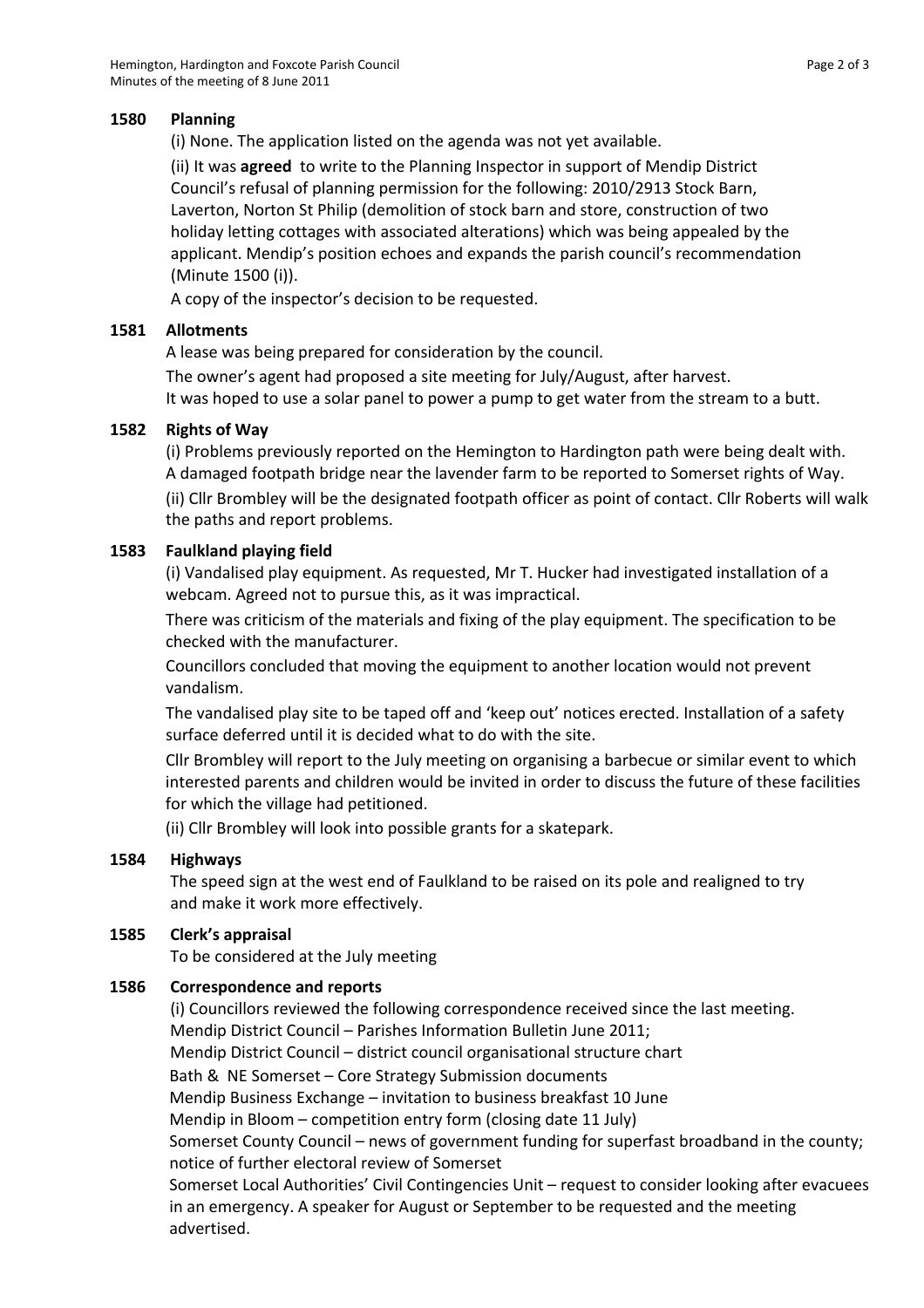# **1580 Planning**

(i) None. The application listed on the agenda was not yet available.

 (ii) It was **agreed** to write to the Planning Inspector in support of Mendip District Council's refusal of planning permission for the following: 2010/2913 Stock Barn, Laverton, Norton St Philip (demolition of stock barn and store, construction of two holiday letting cottages with associated alterations) which was being appealed by the applicant. Mendip's position echoes and expands the parish council's recommendation (Minute 1500 (i)).

A copy of the inspector's decision to be requested.

# **1581 Allotments**

A lease was being prepared for consideration by the council.

The owner's agent had proposed a site meeting for July/August, after harvest. It was hoped to use a solar panel to power a pump to get water from the stream to a butt.

# **1582 Rights of Way**

(i) Problems previously reported on the Hemington to Hardington path were being dealt with. A damaged footpath bridge near the lavender farm to be reported to Somerset rights of Way.

 (ii) Cllr Brombley will be the designated footpath officer as point of contact. Cllr Roberts will walk the paths and report problems.

# **1583 Faulkland playing field**

(i) Vandalised play equipment. As requested, Mr T. Hucker had investigated installation of a webcam. Agreed not to pursue this, as it was impractical.

There was criticism of the materials and fixing of the play equipment. The specification to be checked with the manufacturer.

 Councillors concluded that moving the equipment to another location would not prevent vandalism.

 The vandalised play site to be taped off and 'keep out' notices erected. Installation of a safety surface deferred until it is decided what to do with the site.

 Cllr Brombley will report to the July meeting on organising a barbecue or similar event to which interested parents and children would be invited in order to discuss the future of these facilities for which the village had petitioned.

(ii) Cllr Brombley will look into possible grants for a skatepark.

### **1584 Highways**

The speed sign at the west end of Faulkland to be raised on its pole and realigned to try and make it work more effectively.

### **1585 Clerk's appraisal**

To be considered at the July meeting

# **1586 Correspondence and reports**

(i) Councillors reviewed the following correspondence received since the last meeting. Mendip District Council – Parishes Information Bulletin June 2011; Mendip District Council – district council organisational structure chart Bath & NE Somerset – Core Strategy Submission documents Mendip Business Exchange – invitation to business breakfast 10 June Mendip in Bloom – competition entry form (closing date 11 July) Somerset County Council – news of government funding for superfast broadband in the county; notice of further electoral review of Somerset Somerset Local Authorities' Civil Contingencies Unit – request to consider looking after evacuees in an emergency. A speaker for August or September to be requested and the meeting advertised.